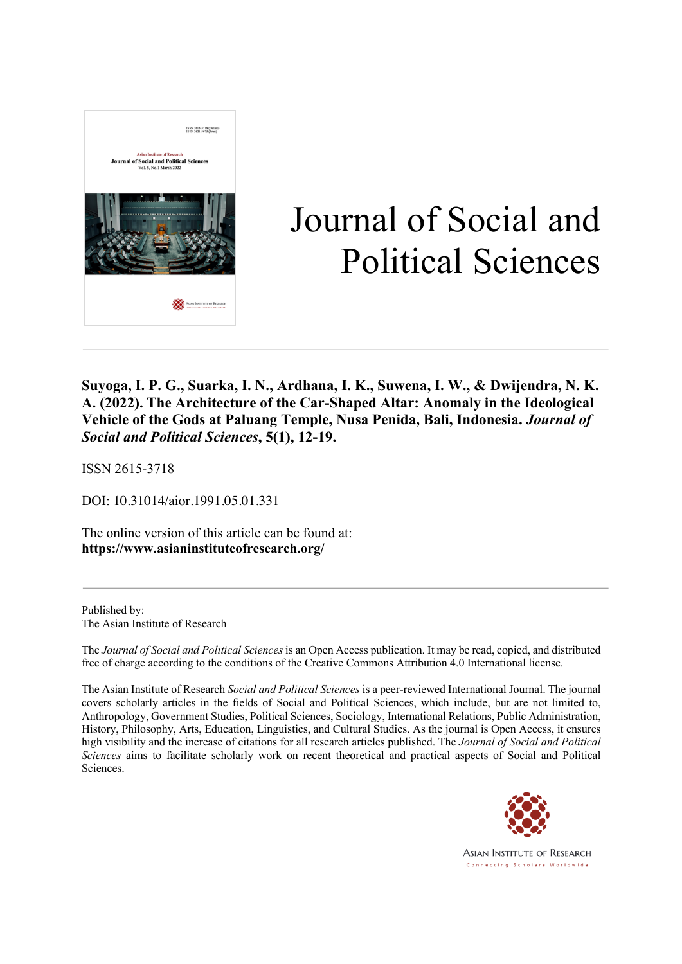

# Journal of Social and Political Sciences

**Suyoga, I. P. G., Suarka, I. N., Ardhana, I. K., Suwena, I. W., & Dwijendra, N. K. A. (2022). The Architecture of the Car-Shaped Altar: Anomaly in the Ideological Vehicle of the Gods at Paluang Temple, Nusa Penida, Bali, Indonesia.** *Journal of Social and Political Sciences***, 5(1), 12-19.**

ISSN 2615-3718

DOI: 10.31014/aior.1991.05.01.331

The online version of this article can be found at: **https://www.asianinstituteofresearch.org/**

Published by: The Asian Institute of Research

The *Journal of Social and Political Sciences* is an Open Access publication. It may be read, copied, and distributed free of charge according to the conditions of the Creative Commons Attribution 4.0 International license.

The Asian Institute of Research *Social and Political Sciences* is a peer-reviewed International Journal. The journal covers scholarly articles in the fields of Social and Political Sciences, which include, but are not limited to, Anthropology, Government Studies, Political Sciences, Sociology, International Relations, Public Administration, History, Philosophy, Arts, Education, Linguistics, and Cultural Studies. As the journal is Open Access, it ensures high visibility and the increase of citations for all research articles published. The *Journal of Social and Political Sciences* aims to facilitate scholarly work on recent theoretical and practical aspects of Social and Political Sciences.



Asian Institute of Research Connecting Scholars Worldwide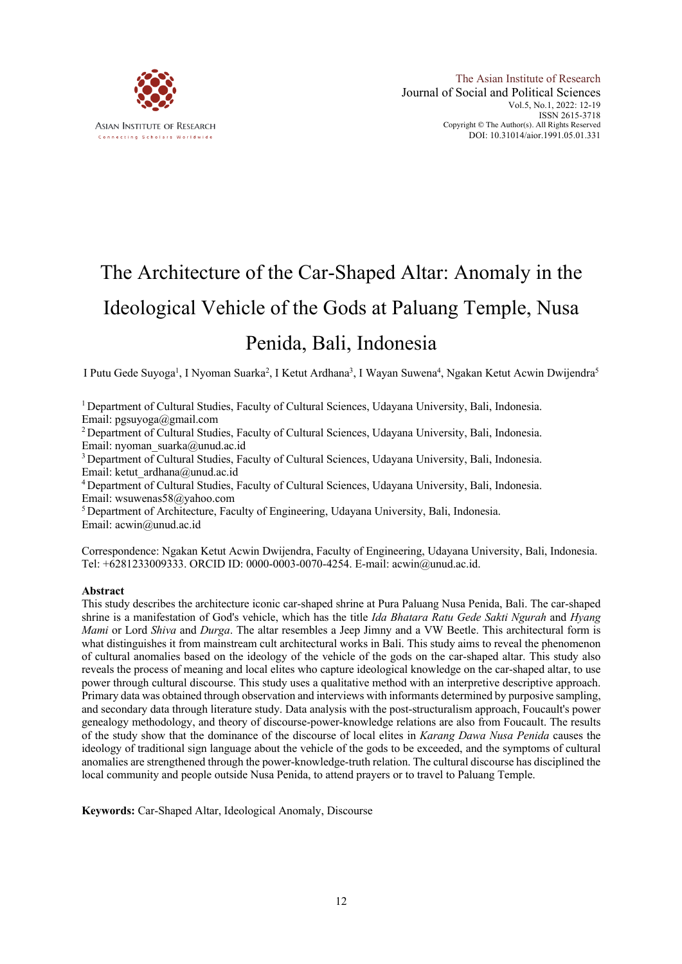

## The Architecture of the Car-Shaped Altar: Anomaly in the Ideological Vehicle of the Gods at Paluang Temple, Nusa Penida, Bali, Indonesia

I Putu Gede Suyoga<sup>1</sup>, I Nyoman Suarka<sup>2</sup>, I Ketut Ardhana<sup>3</sup>, I Wayan Suwena<sup>4</sup>, Ngakan Ketut Acwin Dwijendra<sup>5</sup>

1 Department of Cultural Studies, Faculty of Cultural Sciences, Udayana University, Bali, Indonesia. Email: pgsuyoga@gmail.com

<sup>2</sup> Department of Cultural Studies, Faculty of Cultural Sciences, Udayana University, Bali, Indonesia. Email: nyoman\_suarka@unud.ac.id

<sup>3</sup> Department of Cultural Studies, Faculty of Cultural Sciences, Udayana University, Bali, Indonesia. Email: ketut\_ardhana@unud.ac.id

<sup>4</sup> Department of Cultural Studies, Faculty of Cultural Sciences, Udayana University, Bali, Indonesia. Email: wsuwenas58@yahoo.com

<sup>5</sup> Department of Architecture, Faculty of Engineering, Udayana University, Bali, Indonesia. Email: acwin@unud.ac.id

Correspondence: Ngakan Ketut Acwin Dwijendra, Faculty of Engineering, Udayana University, Bali, Indonesia. Tel: +6281233009333. ORCID ID: 0000-0003-0070-4254. E-mail: acwin@unud.ac.id.

#### **Abstract**

This study describes the architecture iconic car-shaped shrine at Pura Paluang Nusa Penida, Bali. The car-shaped shrine is a manifestation of God's vehicle, which has the title *Ida Bhatara Ratu Gede Sakti Ngurah* and *Hyang Mami* or Lord *Shiva* and *Durga*. The altar resembles a Jeep Jimny and a VW Beetle. This architectural form is what distinguishes it from mainstream cult architectural works in Bali. This study aims to reveal the phenomenon of cultural anomalies based on the ideology of the vehicle of the gods on the car-shaped altar. This study also reveals the process of meaning and local elites who capture ideological knowledge on the car-shaped altar, to use power through cultural discourse. This study uses a qualitative method with an interpretive descriptive approach. Primary data was obtained through observation and interviews with informants determined by purposive sampling, and secondary data through literature study. Data analysis with the post-structuralism approach, Foucault's power genealogy methodology, and theory of discourse-power-knowledge relations are also from Foucault. The results of the study show that the dominance of the discourse of local elites in *Karang Dawa Nusa Penida* causes the ideology of traditional sign language about the vehicle of the gods to be exceeded, and the symptoms of cultural anomalies are strengthened through the power-knowledge-truth relation. The cultural discourse has disciplined the local community and people outside Nusa Penida, to attend prayers or to travel to Paluang Temple.

**Keywords:** Car-Shaped Altar, Ideological Anomaly, Discourse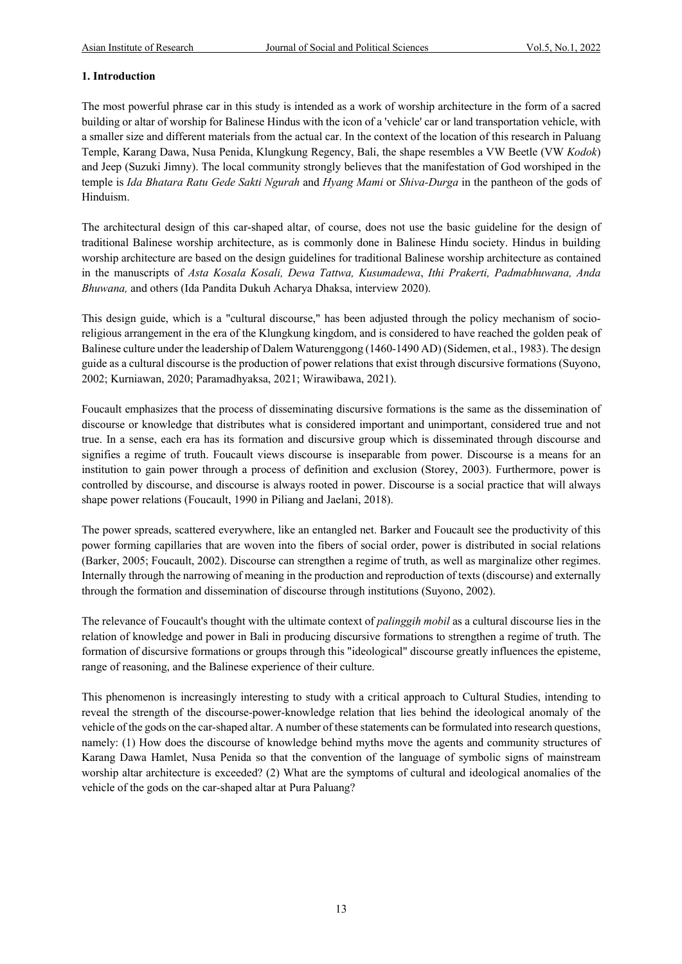#### **1. Introduction**

The most powerful phrase car in this study is intended as a work of worship architecture in the form of a sacred building or altar of worship for Balinese Hindus with the icon of a 'vehicle' car or land transportation vehicle, with a smaller size and different materials from the actual car. In the context of the location of this research in Paluang Temple, Karang Dawa, Nusa Penida, Klungkung Regency, Bali, the shape resembles a VW Beetle (VW *Kodok*) and Jeep (Suzuki Jimny). The local community strongly believes that the manifestation of God worshiped in the temple is *Ida Bhatara Ratu Gede Sakti Ngurah* and *Hyang Mami* or *Shiva-Durga* in the pantheon of the gods of Hinduism.

The architectural design of this car-shaped altar, of course, does not use the basic guideline for the design of traditional Balinese worship architecture, as is commonly done in Balinese Hindu society. Hindus in building worship architecture are based on the design guidelines for traditional Balinese worship architecture as contained in the manuscripts of *Asta Kosala Kosali, Dewa Tattwa, Kusumadewa*, *Ithi Prakerti, Padmabhuwana, Anda Bhuwana,* and others (Ida Pandita Dukuh Acharya Dhaksa, interview 2020).

This design guide, which is a "cultural discourse," has been adjusted through the policy mechanism of socioreligious arrangement in the era of the Klungkung kingdom, and is considered to have reached the golden peak of Balinese culture under the leadership of Dalem Waturenggong (1460-1490 AD) (Sidemen, et al., 1983). The design guide as a cultural discourse is the production of power relations that exist through discursive formations (Suyono, 2002; Kurniawan, 2020; Paramadhyaksa, 2021; Wirawibawa, 2021).

Foucault emphasizes that the process of disseminating discursive formations is the same as the dissemination of discourse or knowledge that distributes what is considered important and unimportant, considered true and not true. In a sense, each era has its formation and discursive group which is disseminated through discourse and signifies a regime of truth. Foucault views discourse is inseparable from power. Discourse is a means for an institution to gain power through a process of definition and exclusion (Storey, 2003). Furthermore, power is controlled by discourse, and discourse is always rooted in power. Discourse is a social practice that will always shape power relations (Foucault, 1990 in Piliang and Jaelani, 2018).

The power spreads, scattered everywhere, like an entangled net. Barker and Foucault see the productivity of this power forming capillaries that are woven into the fibers of social order, power is distributed in social relations (Barker, 2005; Foucault, 2002). Discourse can strengthen a regime of truth, as well as marginalize other regimes. Internally through the narrowing of meaning in the production and reproduction of texts (discourse) and externally through the formation and dissemination of discourse through institutions (Suyono, 2002).

The relevance of Foucault's thought with the ultimate context of *palinggih mobil* as a cultural discourse lies in the relation of knowledge and power in Bali in producing discursive formations to strengthen a regime of truth. The formation of discursive formations or groups through this "ideological" discourse greatly influences the episteme, range of reasoning, and the Balinese experience of their culture.

This phenomenon is increasingly interesting to study with a critical approach to Cultural Studies, intending to reveal the strength of the discourse-power-knowledge relation that lies behind the ideological anomaly of the vehicle of the gods on the car-shaped altar. A number of these statements can be formulated into research questions, namely: (1) How does the discourse of knowledge behind myths move the agents and community structures of Karang Dawa Hamlet, Nusa Penida so that the convention of the language of symbolic signs of mainstream worship altar architecture is exceeded? (2) What are the symptoms of cultural and ideological anomalies of the vehicle of the gods on the car-shaped altar at Pura Paluang?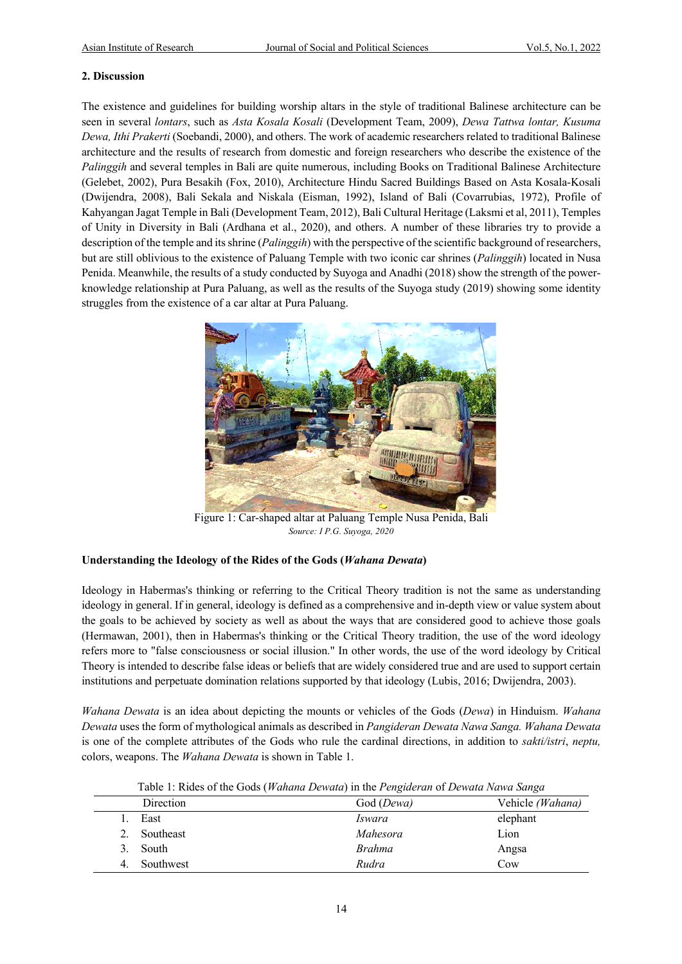#### **2. Discussion**

The existence and guidelines for building worship altars in the style of traditional Balinese architecture can be seen in several *lontars*, such as *Asta Kosala Kosali* (Development Team, 2009), *Dewa Tattwa lontar, Kusuma Dewa, Ithi Prakerti* (Soebandi, 2000), and others. The work of academic researchers related to traditional Balinese architecture and the results of research from domestic and foreign researchers who describe the existence of the *Palinggih* and several temples in Bali are quite numerous, including Books on Traditional Balinese Architecture (Gelebet, 2002), Pura Besakih (Fox, 2010), Architecture Hindu Sacred Buildings Based on Asta Kosala-Kosali (Dwijendra, 2008), Bali Sekala and Niskala (Eisman, 1992), Island of Bali (Covarrubias, 1972), Profile of Kahyangan Jagat Temple in Bali (Development Team, 2012), Bali Cultural Heritage (Laksmi et al, 2011), Temples of Unity in Diversity in Bali (Ardhana et al., 2020), and others. A number of these libraries try to provide a description of the temple and its shrine (*Palinggih*) with the perspective of the scientific background of researchers, but are still oblivious to the existence of Paluang Temple with two iconic car shrines (*Palinggih*) located in Nusa Penida. Meanwhile, the results of a study conducted by Suyoga and Anadhi (2018) show the strength of the powerknowledge relationship at Pura Paluang, as well as the results of the Suyoga study (2019) showing some identity struggles from the existence of a car altar at Pura Paluang.



Figure 1: Car-shaped altar at Paluang Temple Nusa Penida, Bali *Source: I P.G. Suyoga, 2020*

### **Understanding the Ideology of the Rides of the Gods (***Wahana Dewata***)**

Ideology in Habermas's thinking or referring to the Critical Theory tradition is not the same as understanding ideology in general. If in general, ideology is defined as a comprehensive and in-depth view or value system about the goals to be achieved by society as well as about the ways that are considered good to achieve those goals (Hermawan, 2001), then in Habermas's thinking or the Critical Theory tradition, the use of the word ideology refers more to "false consciousness or social illusion." In other words, the use of the word ideology by Critical Theory is intended to describe false ideas or beliefs that are widely considered true and are used to support certain institutions and perpetuate domination relations supported by that ideology (Lubis, 2016; Dwijendra, 2003).

*Wahana Dewata* is an idea about depicting the mounts or vehicles of the Gods (*Dewa*) in Hinduism. *Wahana Dewata* uses the form of mythological animals as described in *Pangideran Dewata Nawa Sanga. Wahana Dewata* is one of the complete attributes of the Gods who rule the cardinal directions, in addition to *sakti/istri*, *neptu,* colors, weapons. The *Wahana Dewata* is shown in Table 1.

|           | Table 1: Rides of the Gods (Wahana Dewata) in the Pengideran of Dewata Nawa Sanga |                  |
|-----------|-----------------------------------------------------------------------------------|------------------|
| Direction | God ( <i>Dewa</i> )                                                               | Vehicle (Wahana) |

|    | Direction | God ( <i>Dewa</i> ) | Vehicle <i>(Wahana)</i> |
|----|-----------|---------------------|-------------------------|
|    | East      | <i>Iswara</i>       | elephant                |
|    | Southeast | Mahesora            | Lion                    |
|    | South     | <i>Brahma</i>       | Angsa                   |
| 4. | Southwest | Rudra               | Cow                     |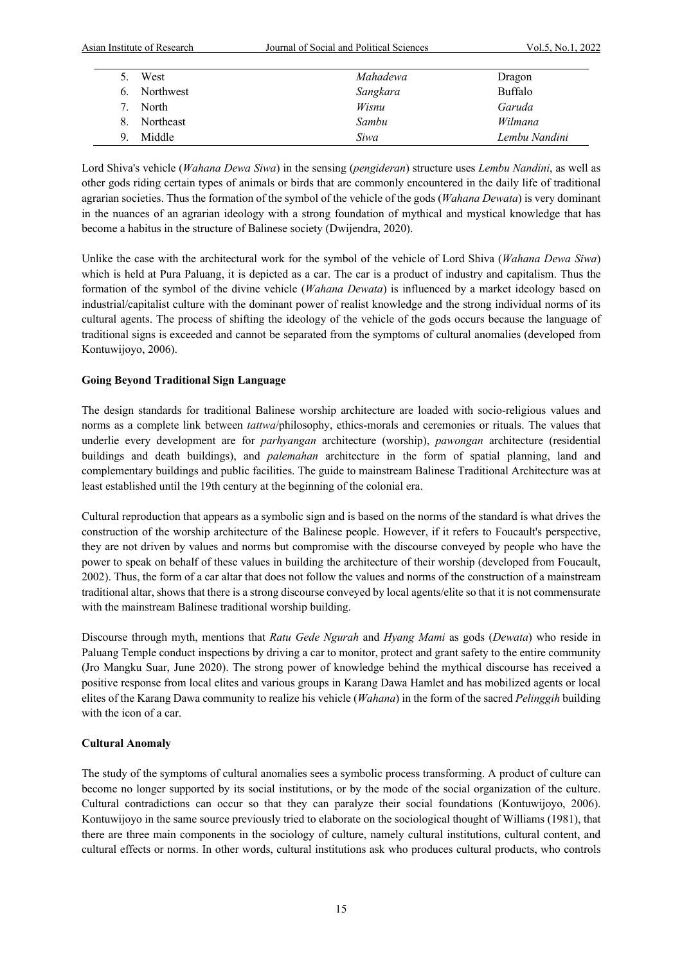| Asian Institute of Research | Journal of Social and Political Sciences | Vol.5, No.1, 2022 |
|-----------------------------|------------------------------------------|-------------------|
| West                        | Mahadewa                                 | Dragon            |
| Northwest<br>6.             | Sangkara                                 | Buffalo           |
| North                       | Wisnu                                    | Garuda            |
| Northeast<br>8.             | Sambu                                    | Wilmana           |
| Middle<br>Q                 | Siwa                                     | Lembu Nandini     |

Lord Shiva's vehicle (*Wahana Dewa Siwa*) in the sensing (*pengideran*) structure uses *Lembu Nandini*, as well as other gods riding certain types of animals or birds that are commonly encountered in the daily life of traditional agrarian societies. Thus the formation of the symbol of the vehicle of the gods (*Wahana Dewata*) is very dominant in the nuances of an agrarian ideology with a strong foundation of mythical and mystical knowledge that has become a habitus in the structure of Balinese society (Dwijendra, 2020).

Unlike the case with the architectural work for the symbol of the vehicle of Lord Shiva (*Wahana Dewa Siwa*) which is held at Pura Paluang, it is depicted as a car. The car is a product of industry and capitalism. Thus the formation of the symbol of the divine vehicle (*Wahana Dewata*) is influenced by a market ideology based on industrial/capitalist culture with the dominant power of realist knowledge and the strong individual norms of its cultural agents. The process of shifting the ideology of the vehicle of the gods occurs because the language of traditional signs is exceeded and cannot be separated from the symptoms of cultural anomalies (developed from Kontuwijoyo, 2006).

### **Going Beyond Traditional Sign Language**

The design standards for traditional Balinese worship architecture are loaded with socio-religious values and norms as a complete link between *tattwa*/philosophy, ethics-morals and ceremonies or rituals. The values that underlie every development are for *parhyangan* architecture (worship), *pawongan* architecture (residential buildings and death buildings), and *palemahan* architecture in the form of spatial planning, land and complementary buildings and public facilities. The guide to mainstream Balinese Traditional Architecture was at least established until the 19th century at the beginning of the colonial era.

Cultural reproduction that appears as a symbolic sign and is based on the norms of the standard is what drives the construction of the worship architecture of the Balinese people. However, if it refers to Foucault's perspective, they are not driven by values and norms but compromise with the discourse conveyed by people who have the power to speak on behalf of these values in building the architecture of their worship (developed from Foucault, 2002). Thus, the form of a car altar that does not follow the values and norms of the construction of a mainstream traditional altar, shows that there is a strong discourse conveyed by local agents/elite so that it is not commensurate with the mainstream Balinese traditional worship building.

Discourse through myth, mentions that *Ratu Gede Ngurah* and *Hyang Mami* as gods (*Dewata*) who reside in Paluang Temple conduct inspections by driving a car to monitor, protect and grant safety to the entire community (Jro Mangku Suar, June 2020). The strong power of knowledge behind the mythical discourse has received a positive response from local elites and various groups in Karang Dawa Hamlet and has mobilized agents or local elites of the Karang Dawa community to realize his vehicle (*Wahana*) in the form of the sacred *Pelinggih* building with the icon of a car.

### **Cultural Anomaly**

The study of the symptoms of cultural anomalies sees a symbolic process transforming. A product of culture can become no longer supported by its social institutions, or by the mode of the social organization of the culture. Cultural contradictions can occur so that they can paralyze their social foundations (Kontuwijoyo, 2006). Kontuwijoyo in the same source previously tried to elaborate on the sociological thought of Williams (1981), that there are three main components in the sociology of culture, namely cultural institutions, cultural content, and cultural effects or norms. In other words, cultural institutions ask who produces cultural products, who controls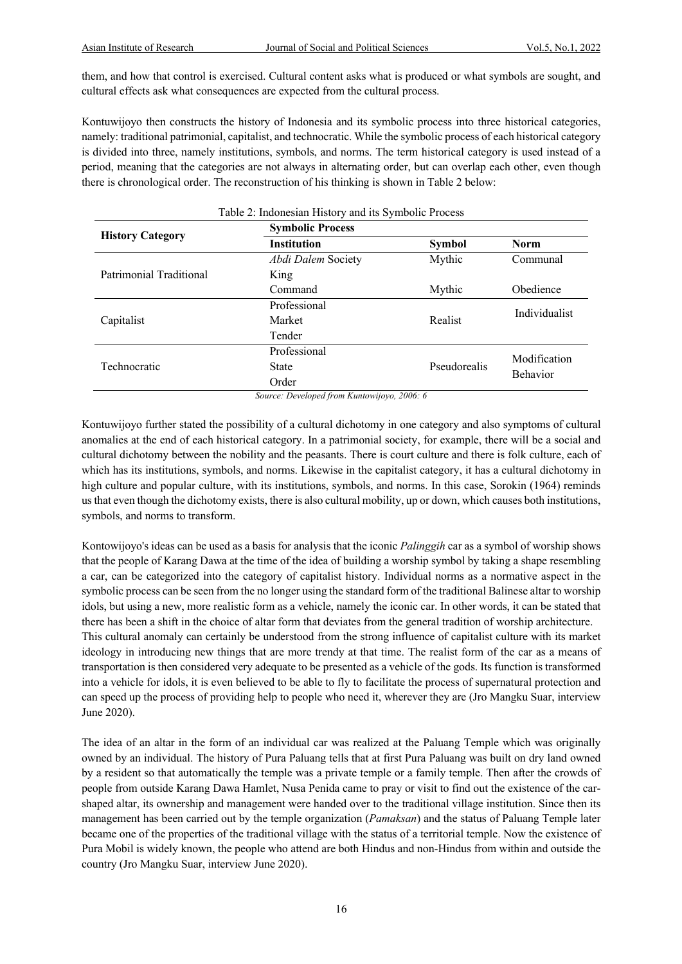them, and how that control is exercised. Cultural content asks what is produced or what symbols are sought, and cultural effects ask what consequences are expected from the cultural process.

Kontuwijoyo then constructs the history of Indonesia and its symbolic process into three historical categories, namely: traditional patrimonial, capitalist, and technocratic. While the symbolic process of each historical category is divided into three, namely institutions, symbols, and norms. The term historical category is used instead of a period, meaning that the categories are not always in alternating order, but can overlap each other, even though there is chronological order. The reconstruction of his thinking is shown in Table 2 below:

| Table 2: Indonesian History and its Symbolic Process |                         |               |                 |  |  |
|------------------------------------------------------|-------------------------|---------------|-----------------|--|--|
| <b>History Category</b>                              | <b>Symbolic Process</b> |               |                 |  |  |
|                                                      | <b>Institution</b>      | <b>Symbol</b> | <b>Norm</b>     |  |  |
|                                                      | Abdi Dalem Society      | Mythic        | Communal        |  |  |
| Patrimonial Traditional                              | King                    |               |                 |  |  |
|                                                      | Command                 | Mythic        | Obedience       |  |  |
|                                                      | Professional            |               | Individualist   |  |  |
| Capitalist                                           | Market                  | Realist       |                 |  |  |
|                                                      | Tender                  |               |                 |  |  |
|                                                      | Professional            |               | Modification    |  |  |
| Technocratic                                         | State                   | Pseudorealis  | <b>Behavior</b> |  |  |
|                                                      | Order                   |               |                 |  |  |

*Source: Developed from Kuntowijoyo, 2006: 6*

Kontuwijoyo further stated the possibility of a cultural dichotomy in one category and also symptoms of cultural anomalies at the end of each historical category. In a patrimonial society, for example, there will be a social and cultural dichotomy between the nobility and the peasants. There is court culture and there is folk culture, each of which has its institutions, symbols, and norms. Likewise in the capitalist category, it has a cultural dichotomy in high culture and popular culture, with its institutions, symbols, and norms. In this case, Sorokin (1964) reminds us that even though the dichotomy exists, there is also cultural mobility, up or down, which causes both institutions, symbols, and norms to transform.

Kontowijoyo's ideas can be used as a basis for analysis that the iconic *Palinggih* car as a symbol of worship shows that the people of Karang Dawa at the time of the idea of building a worship symbol by taking a shape resembling a car, can be categorized into the category of capitalist history. Individual norms as a normative aspect in the symbolic process can be seen from the no longer using the standard form of the traditional Balinese altar to worship idols, but using a new, more realistic form as a vehicle, namely the iconic car. In other words, it can be stated that there has been a shift in the choice of altar form that deviates from the general tradition of worship architecture. This cultural anomaly can certainly be understood from the strong influence of capitalist culture with its market ideology in introducing new things that are more trendy at that time. The realist form of the car as a means of transportation is then considered very adequate to be presented as a vehicle of the gods. Its function is transformed into a vehicle for idols, it is even believed to be able to fly to facilitate the process of supernatural protection and can speed up the process of providing help to people who need it, wherever they are (Jro Mangku Suar, interview June 2020).

The idea of an altar in the form of an individual car was realized at the Paluang Temple which was originally owned by an individual. The history of Pura Paluang tells that at first Pura Paluang was built on dry land owned by a resident so that automatically the temple was a private temple or a family temple. Then after the crowds of people from outside Karang Dawa Hamlet, Nusa Penida came to pray or visit to find out the existence of the carshaped altar, its ownership and management were handed over to the traditional village institution. Since then its management has been carried out by the temple organization (*Pamaksan*) and the status of Paluang Temple later became one of the properties of the traditional village with the status of a territorial temple. Now the existence of Pura Mobil is widely known, the people who attend are both Hindus and non-Hindus from within and outside the country (Jro Mangku Suar, interview June 2020).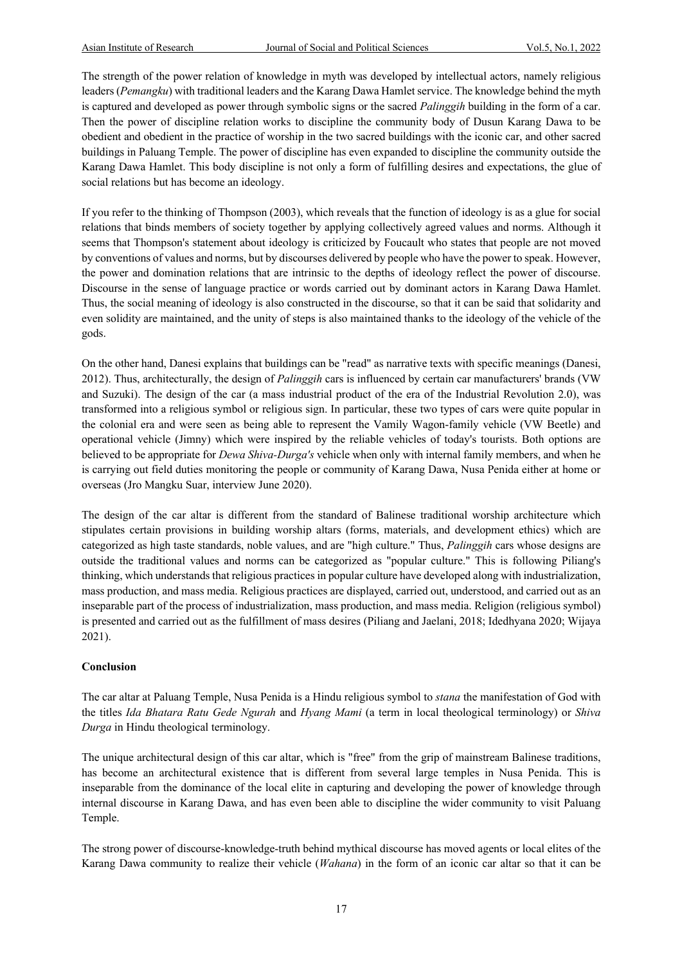The strength of the power relation of knowledge in myth was developed by intellectual actors, namely religious leaders (*Pemangku*) with traditional leaders and the Karang Dawa Hamlet service. The knowledge behind the myth is captured and developed as power through symbolic signs or the sacred *Palinggih* building in the form of a car. Then the power of discipline relation works to discipline the community body of Dusun Karang Dawa to be obedient and obedient in the practice of worship in the two sacred buildings with the iconic car, and other sacred buildings in Paluang Temple. The power of discipline has even expanded to discipline the community outside the Karang Dawa Hamlet. This body discipline is not only a form of fulfilling desires and expectations, the glue of social relations but has become an ideology.

If you refer to the thinking of Thompson (2003), which reveals that the function of ideology is as a glue for social relations that binds members of society together by applying collectively agreed values and norms. Although it seems that Thompson's statement about ideology is criticized by Foucault who states that people are not moved by conventions of values and norms, but by discourses delivered by people who have the power to speak. However, the power and domination relations that are intrinsic to the depths of ideology reflect the power of discourse. Discourse in the sense of language practice or words carried out by dominant actors in Karang Dawa Hamlet. Thus, the social meaning of ideology is also constructed in the discourse, so that it can be said that solidarity and even solidity are maintained, and the unity of steps is also maintained thanks to the ideology of the vehicle of the gods.

On the other hand, Danesi explains that buildings can be "read" as narrative texts with specific meanings (Danesi, 2012). Thus, architecturally, the design of *Palinggih* cars is influenced by certain car manufacturers' brands (VW and Suzuki). The design of the car (a mass industrial product of the era of the Industrial Revolution 2.0), was transformed into a religious symbol or religious sign. In particular, these two types of cars were quite popular in the colonial era and were seen as being able to represent the Vamily Wagon-family vehicle (VW Beetle) and operational vehicle (Jimny) which were inspired by the reliable vehicles of today's tourists. Both options are believed to be appropriate for *Dewa Shiva-Durga's* vehicle when only with internal family members, and when he is carrying out field duties monitoring the people or community of Karang Dawa, Nusa Penida either at home or overseas (Jro Mangku Suar, interview June 2020).

The design of the car altar is different from the standard of Balinese traditional worship architecture which stipulates certain provisions in building worship altars (forms, materials, and development ethics) which are categorized as high taste standards, noble values, and are "high culture." Thus, *Palinggih* cars whose designs are outside the traditional values and norms can be categorized as "popular culture." This is following Piliang's thinking, which understands that religious practices in popular culture have developed along with industrialization, mass production, and mass media. Religious practices are displayed, carried out, understood, and carried out as an inseparable part of the process of industrialization, mass production, and mass media. Religion (religious symbol) is presented and carried out as the fulfillment of mass desires (Piliang and Jaelani, 2018; Idedhyana 2020; Wijaya 2021).

#### **Conclusion**

The car altar at Paluang Temple, Nusa Penida is a Hindu religious symbol to *stana* the manifestation of God with the titles *Ida Bhatara Ratu Gede Ngurah* and *Hyang Mami* (a term in local theological terminology) or *Shiva Durga* in Hindu theological terminology.

The unique architectural design of this car altar, which is "free" from the grip of mainstream Balinese traditions, has become an architectural existence that is different from several large temples in Nusa Penida. This is inseparable from the dominance of the local elite in capturing and developing the power of knowledge through internal discourse in Karang Dawa, and has even been able to discipline the wider community to visit Paluang Temple.

The strong power of discourse-knowledge-truth behind mythical discourse has moved agents or local elites of the Karang Dawa community to realize their vehicle (*Wahana*) in the form of an iconic car altar so that it can be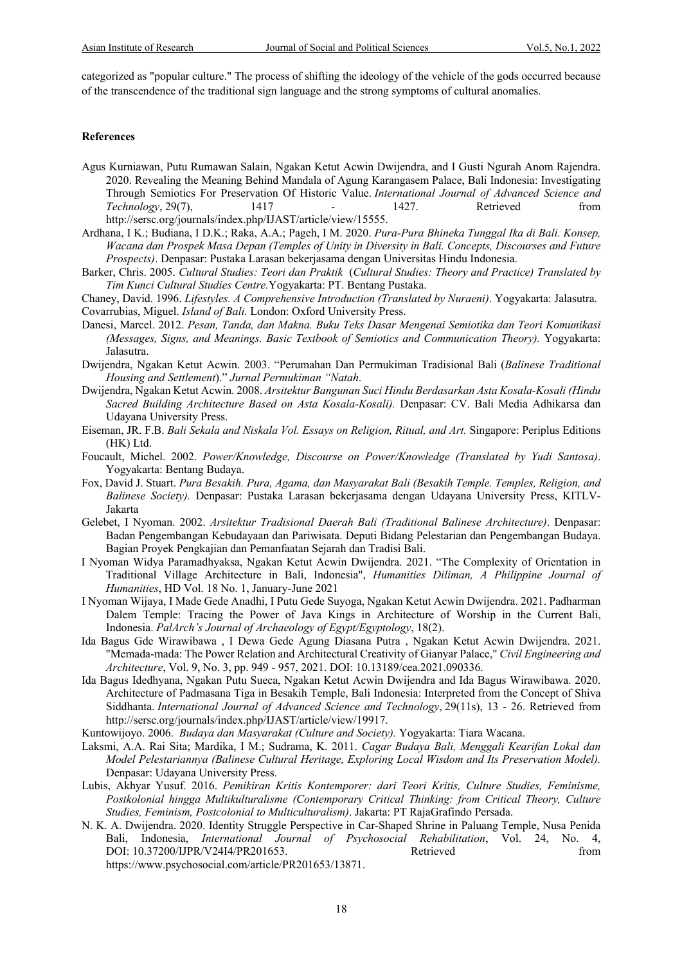categorized as "popular culture." The process of shifting the ideology of the vehicle of the gods occurred because of the transcendence of the traditional sign language and the strong symptoms of cultural anomalies.

#### **References**

- Agus Kurniawan, Putu Rumawan Salain, Ngakan Ketut Acwin Dwijendra, and I Gusti Ngurah Anom Rajendra. 2020. Revealing the Meaning Behind Mandala of Agung Karangasem Palace, Bali Indonesia: Investigating Through Semiotics For Preservation Of Historic Value. *International Journal of Advanced Science and Technology*, 29(7), 1417 - 1427. Retrieved from http://sersc.org/journals/index.php/IJAST/article/view/15555.
- Ardhana, I K.; Budiana, I D.K.; Raka, A.A.; Pageh, I M. 2020. *Pura-Pura Bhineka Tunggal Ika di Bali. Konsep, Wacana dan Prospek Masa Depan (Temples of Unity in Diversity in Bali. Concepts, Discourses and Future Prospects)*. Denpasar: Pustaka Larasan bekerjasama dengan Universitas Hindu Indonesia.
- Barker, Chris. 2005. *Cultural Studies: Teori dan Praktik* (*Cultural Studies: Theory and Practice) Translated by Tim Kunci Cultural Studies Centre.*Yogyakarta: PT. Bentang Pustaka.
- Chaney, David. 1996. *Lifestyles. A Comprehensive Introduction (Translated by Nuraeni)*. Yogyakarta: Jalasutra. Covarrubias, Miguel. *Island of Bali.* London: Oxford University Press.
- Danesi, Marcel. 2012. *Pesan, Tanda, dan Makna. Buku Teks Dasar Mengenai Semiotika dan Teori Komunikasi (Messages, Signs, and Meanings. Basic Textbook of Semiotics and Communication Theory).* Yogyakarta: Jalasutra.
- Dwijendra, Ngakan Ketut Acwin. 2003. "Perumahan Dan Permukiman Tradisional Bali (*Balinese Traditional Housing and Settlement*)." *Jurnal Permukiman "Natah*.
- Dwijendra, Ngakan Ketut Acwin. 2008. *Arsitektur Bangunan Suci Hindu Berdasarkan Asta Kosala-Kosali (Hindu Sacred Building Architecture Based on Asta Kosala-Kosali).* Denpasar: CV. Bali Media Adhikarsa dan Udayana University Press.
- Eiseman, JR. F.B. *Bali Sekala and Niskala Vol. Essays on Religion, Ritual, and Art.* Singapore: Periplus Editions (HK) Ltd.
- Foucault, Michel. 2002. *Power/Knowledge, Discourse on Power/Knowledge (Translated by Yudi Santosa)*. Yogyakarta: Bentang Budaya.
- Fox, David J. Stuart. *Pura Besakih. Pura, Agama, dan Masyarakat Bali (Besakih Temple. Temples, Religion, and Balinese Society).* Denpasar: Pustaka Larasan bekerjasama dengan Udayana University Press, KITLV-Jakarta
- Gelebet, I Nyoman. 2002. *Arsitektur Tradisional Daerah Bali (Traditional Balinese Architecture)*. Denpasar: Badan Pengembangan Kebudayaan dan Pariwisata. Deputi Bidang Pelestarian dan Pengembangan Budaya. Bagian Proyek Pengkajian dan Pemanfaatan Sejarah dan Tradisi Bali.
- I Nyoman Widya Paramadhyaksa, Ngakan Ketut Acwin Dwijendra. 2021. "The Complexity of Orientation in Traditional Village Architecture in Bali, Indonesia", *Humanities Diliman, A Philippine Journal of Humanities*, HD Vol. 18 No. 1, January-June 2021
- I Nyoman Wijaya, I Made Gede Anadhi, I Putu Gede Suyoga, Ngakan Ketut Acwin Dwijendra. 2021. Padharman Dalem Temple: Tracing the Power of Java Kings in Architecture of Worship in the Current Bali, Indonesia. *PalArch's Journal of Archaeology of Egypt/Egyptology*, 18(2).
- Ida Bagus Gde Wirawibawa , I Dewa Gede Agung Diasana Putra , Ngakan Ketut Acwin Dwijendra. 2021. "Memada-mada: The Power Relation and Architectural Creativity of Gianyar Palace," *Civil Engineering and Architecture*, Vol. 9, No. 3, pp. 949 - 957, 2021. DOI: 10.13189/cea.2021.090336.
- Ida Bagus Idedhyana, Ngakan Putu Sueca, Ngakan Ketut Acwin Dwijendra and Ida Bagus Wirawibawa. 2020. Architecture of Padmasana Tiga in Besakih Temple, Bali Indonesia: Interpreted from the Concept of Shiva Siddhanta. *International Journal of Advanced Science and Technology*, 29(11s), 13 - 26. Retrieved from http://sersc.org/journals/index.php/IJAST/article/view/19917.
- Kuntowijoyo. 2006. *Budaya dan Masyarakat (Culture and Society).* Yogyakarta: Tiara Wacana.
- Laksmi, A.A. Rai Sita; Mardika, I M.; Sudrama, K. 2011. *Cagar Budaya Bali, Menggali Kearifan Lokal dan Model Pelestariannya (Balinese Cultural Heritage, Exploring Local Wisdom and Its Preservation Model).* Denpasar: Udayana University Press.
- Lubis, Akhyar Yusuf. 2016. *Pemikiran Kritis Kontemporer: dari Teori Kritis, Culture Studies, Feminisme, Postkolonial hingga Multikulturalisme (Contemporary Critical Thinking: from Critical Theory, Culture Studies, Feminism, Postcolonial to Multiculturalism)*. Jakarta: PT RajaGrafindo Persada.
- N. K. A. Dwijendra. 2020. Identity Struggle Perspective in Car-Shaped Shrine in Paluang Temple, Nusa Penida Bali, Indonesia, *International Journal of Psychosocial Rehabilitation*, Vol. 24, No. 4, DOI: 10.37200/IJPR/V24I4/PR201653. Retrieved from https://www.psychosocial.com/article/PR201653/13871.